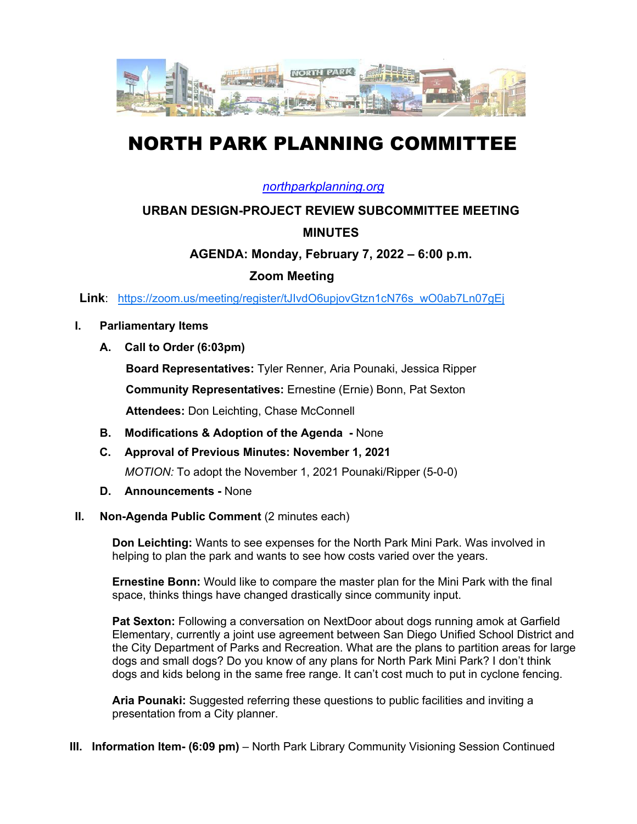

# NORTH PARK PLANNING COMMITTEE

#### *northparkplanning.org*

## **URBAN DESIGN-PROJECT REVIEW SUBCOMMITTEE MEETING MINUTES**

## **AGENDA: Monday, February 7, 2022 – 6:00 p.m.**

## **Zoom Meeting**

**Link**: https://zoom.us/meeting/register/tJIvdO6upjovGtzn1cN76s\_wO0ab7Ln07gEj

#### **I. Parliamentary Items**

**A. Call to Order (6:03pm)** 

**Board Representatives:** Tyler Renner, Aria Pounaki, Jessica Ripper

**Community Representatives:** Ernestine (Ernie) Bonn, Pat Sexton

**Attendees:** Don Leichting, Chase McConnell

- **B. Modifications & Adoption of the Agenda -** None
- **C. Approval of Previous Minutes: November 1, 2021** *MOTION:* To adopt the November 1, 2021 Pounaki/Ripper (5-0-0)
- **D. Announcements -** None
- **II.** Non-Agenda Public Comment (2 minutes each)

**Don Leichting:** Wants to see expenses for the North Park Mini Park. Was involved in helping to plan the park and wants to see how costs varied over the years.

**Ernestine Bonn:** Would like to compare the master plan for the Mini Park with the final space, thinks things have changed drastically since community input.

**Pat Sexton:** Following a conversation on NextDoor about dogs running amok at Garfield Elementary, currently a joint use agreement between San Diego Unified School District and the City Department of Parks and Recreation. What are the plans to partition areas for large dogs and small dogs? Do you know of any plans for North Park Mini Park? I don't think dogs and kids belong in the same free range. It can't cost much to put in cyclone fencing.

**Aria Pounaki:** Suggested referring these questions to public facilities and inviting a presentation from a City planner.

**III. Information Item- (6:09 pm)** – North Park Library Community Visioning Session Continued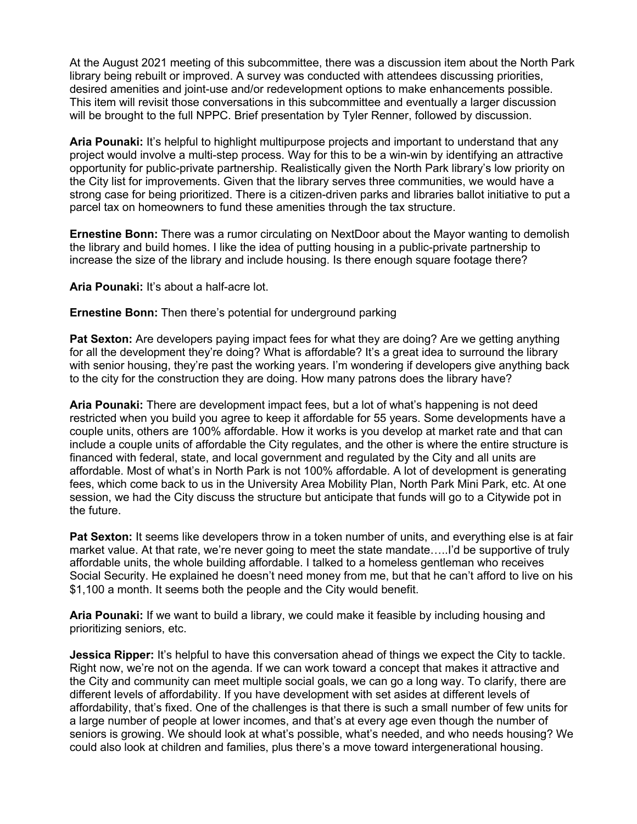At the August 2021 meeting of this subcommittee, there was a discussion item about the North Park library being rebuilt or improved. A survey was conducted with attendees discussing priorities, desired amenities and joint-use and/or redevelopment options to make enhancements possible. This item will revisit those conversations in this subcommittee and eventually a larger discussion will be brought to the full NPPC. Brief presentation by Tyler Renner, followed by discussion.

**Aria Pounaki:** It's helpful to highlight multipurpose projects and important to understand that any project would involve a multi-step process. Way for this to be a win-win by identifying an attractive opportunity for public-private partnership. Realistically given the North Park library's low priority on the City list for improvements. Given that the library serves three communities, we would have a strong case for being prioritized. There is a citizen-driven parks and libraries ballot initiative to put a parcel tax on homeowners to fund these amenities through the tax structure.

**Ernestine Bonn:** There was a rumor circulating on NextDoor about the Mayor wanting to demolish the library and build homes. I like the idea of putting housing in a public-private partnership to increase the size of the library and include housing. Is there enough square footage there?

**Aria Pounaki:** It's about a half-acre lot.

**Ernestine Bonn:** Then there's potential for underground parking

**Pat Sexton:** Are developers paying impact fees for what they are doing? Are we getting anything for all the development they're doing? What is affordable? It's a great idea to surround the library with senior housing, they're past the working years. I'm wondering if developers give anything back to the city for the construction they are doing. How many patrons does the library have?

**Aria Pounaki:** There are development impact fees, but a lot of what's happening is not deed restricted when you build you agree to keep it affordable for 55 years. Some developments have a couple units, others are 100% affordable. How it works is you develop at market rate and that can include a couple units of affordable the City regulates, and the other is where the entire structure is financed with federal, state, and local government and regulated by the City and all units are affordable. Most of what's in North Park is not 100% affordable. A lot of development is generating fees, which come back to us in the University Area Mobility Plan, North Park Mini Park, etc. At one session, we had the City discuss the structure but anticipate that funds will go to a Citywide pot in the future.

**Pat Sexton:** It seems like developers throw in a token number of units, and everything else is at fair market value. At that rate, we're never going to meet the state mandate.....I'd be supportive of truly affordable units, the whole building affordable. I talked to a homeless gentleman who receives Social Security. He explained he doesn't need money from me, but that he can't afford to live on his \$1,100 a month. It seems both the people and the City would benefit.

**Aria Pounaki:** If we want to build a library, we could make it feasible by including housing and prioritizing seniors, etc.

**Jessica Ripper:** It's helpful to have this conversation ahead of things we expect the City to tackle. Right now, we're not on the agenda. If we can work toward a concept that makes it attractive and the City and community can meet multiple social goals, we can go a long way. To clarify, there are different levels of affordability. If you have development with set asides at different levels of affordability, that's fixed. One of the challenges is that there is such a small number of few units for a large number of people at lower incomes, and that's at every age even though the number of seniors is growing. We should look at what's possible, what's needed, and who needs housing? We could also look at children and families, plus there's a move toward intergenerational housing.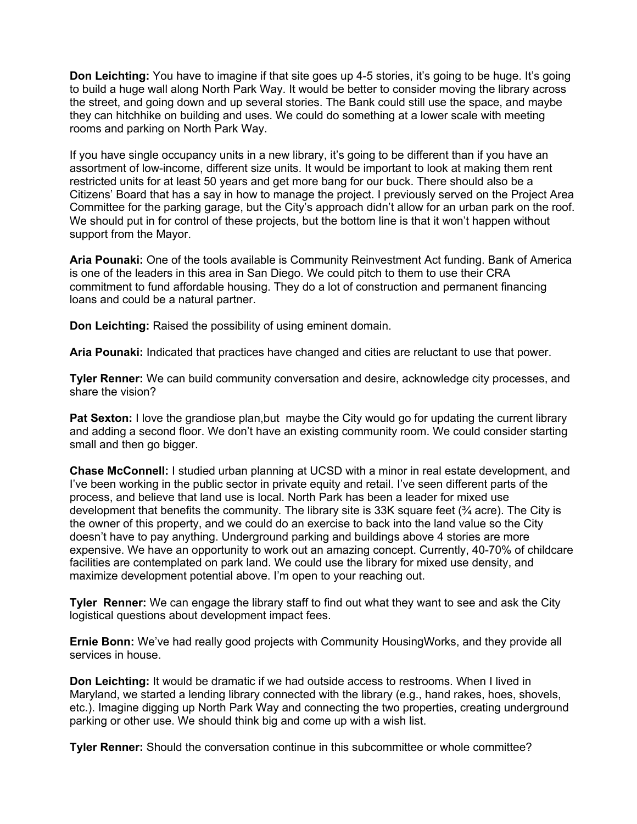**Don Leichting:** You have to imagine if that site goes up 4-5 stories, it's going to be huge. It's going to build a huge wall along North Park Way. It would be better to consider moving the library across the street, and going down and up several stories. The Bank could still use the space, and maybe they can hitchhike on building and uses. We could do something at a lower scale with meeting rooms and parking on North Park Way.

If you have single occupancy units in a new library, it's going to be different than if you have an assortment of low-income, different size units. It would be important to look at making them rent restricted units for at least 50 years and get more bang for our buck. There should also be a Citizens' Board that has a say in how to manage the project. I previously served on the Project Area Committee for the parking garage, but the City's approach didn't allow for an urban park on the roof. We should put in for control of these projects, but the bottom line is that it won't happen without support from the Mayor.

**Aria Pounaki:** One of the tools available is Community Reinvestment Act funding. Bank of America is one of the leaders in this area in San Diego. We could pitch to them to use their CRA commitment to fund affordable housing. They do a lot of construction and permanent financing loans and could be a natural partner.

**Don Leichting:** Raised the possibility of using eminent domain.

**Aria Pounaki:** Indicated that practices have changed and cities are reluctant to use that power.

**Tyler Renner:** We can build community conversation and desire, acknowledge city processes, and share the vision?

**Pat Sexton:** I love the grandiose plan,but maybe the City would go for updating the current library and adding a second floor. We don't have an existing community room. We could consider starting small and then go bigger.

**Chase McConnell:** I studied urban planning at UCSD with a minor in real estate development, and I've been working in the public sector in private equity and retail. I've seen different parts of the process, and believe that land use is local. North Park has been a leader for mixed use development that benefits the community. The library site is  $33K$  square feet  $\frac{3}{4}$  acre). The City is the owner of this property, and we could do an exercise to back into the land value so the City doesn't have to pay anything. Underground parking and buildings above 4 stories are more expensive. We have an opportunity to work out an amazing concept. Currently, 40-70% of childcare facilities are contemplated on park land. We could use the library for mixed use density, and maximize development potential above. I'm open to your reaching out.

**Tyler Renner:** We can engage the library staff to find out what they want to see and ask the City logistical questions about development impact fees.

**Ernie Bonn:** We've had really good projects with Community HousingWorks, and they provide all services in house.

**Don Leichting:** It would be dramatic if we had outside access to restrooms. When I lived in Maryland, we started a lending library connected with the library (e.g., hand rakes, hoes, shovels, etc.). Imagine digging up North Park Way and connecting the two properties, creating underground parking or other use. We should think big and come up with a wish list.

**Tyler Renner:** Should the conversation continue in this subcommittee or whole committee?